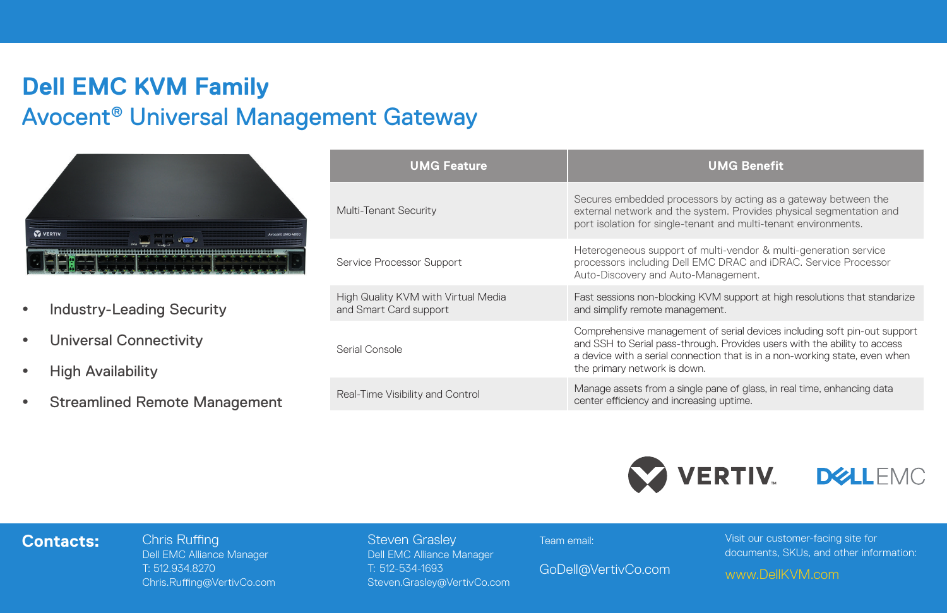## **Dell EMC KVM Family** Avocent® Universal Management Gateway



- Industry-Leading Security
- **•** Universal Connectivity
- High Availability
- **•** Streamlined Remote Management

| <b>UMG Feature</b>                                            | <b>UMG Benefit</b>                                                                                                                                                                                                                                                    |
|---------------------------------------------------------------|-----------------------------------------------------------------------------------------------------------------------------------------------------------------------------------------------------------------------------------------------------------------------|
| Multi-Tenant Security                                         | Secures embedded processors by acting as a gateway between the<br>external network and the system. Provides physical segmentation and<br>port isolation for single-tenant and multi-tenant environments.                                                              |
| Service Processor Support                                     | Heterogeneous support of multi-vendor & multi-generation service<br>processors including Dell EMC DRAC and iDRAC. Service Processor<br>Auto-Discovery and Auto-Management.                                                                                            |
| High Quality KVM with Virtual Media<br>and Smart Card support | Fast sessions non-blocking KVM support at high resolutions that standarize<br>and simplify remote management.                                                                                                                                                         |
| Serial Console                                                | Comprehensive management of serial devices including soft pin-out support<br>and SSH to Serial pass-through. Provides users with the ability to access<br>a device with a serial connection that is in a non-working state, even when<br>the primary network is down. |
| Real-Time Visibility and Control                              | Manage assets from a single pane of glass, in real time, enhancing data<br>center efficiency and increasing uptime.                                                                                                                                                   |
|                                                               |                                                                                                                                                                                                                                                                       |



## **Contacts:** Chris Ruffing

Dell EMC Alliance Manager T: 512.934.8270 Chris.Ruffing@VertivCo.com Steven Grasley Dell EMC Alliance Manager T: 512-534-1693 Steven.Grasley@VertivCo.com Team email:

GoDell@VertivCo.com

Visit our customer-facing site for documents, SKUs, and other information:

www.DellKVM.com